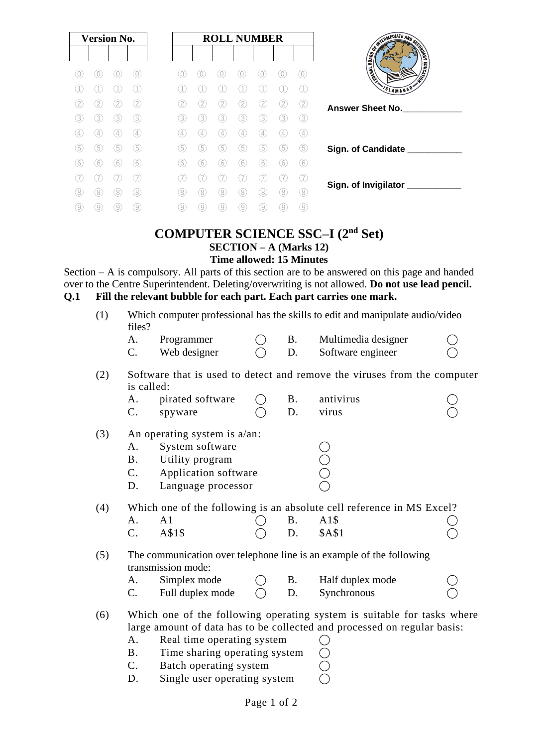|    | <b>Version No.</b> |   |          | <b>ROLL NUMBER</b> |    |   |   |   |     |     |
|----|--------------------|---|----------|--------------------|----|---|---|---|-----|-----|
|    |                    |   | $\phi$ . |                    |    |   |   |   |     | (0) |
|    |                    |   |          |                    |    |   |   |   |     |     |
|    |                    |   | (2)      | 2.                 |    |   |   |   | (2) | (2) |
| 3  | 3                  | 3 | (3)      | 3.                 | 3  | 3 | 3 | 3 | 3   | (3) |
| 4  | 4                  | 4 | (4)      | 4                  | 4  | 4 | 4 | 4 | (4  | (4) |
| 5  | 5                  | 5 | (5)      | 5                  | 5  | 5 | 5 | 5 | (5  | (5) |
| 6  | 6                  | 6 | 6        | 6                  | 6  | 6 | 6 | 6 | 6   | 6   |
|    |                    |   | 7        |                    |    |   |   |   |     | (7  |
| 8  | 8                  |   | 8        | 8                  | 8  | 8 |   | 8 | 8   | (8) |
| 9) | 9                  |   | 9        | 9                  | 9. | 9 | 9 | 9 | 9   | ⊚   |

#### **COMPUTER SCIENCE SSC–I (2nd Set) SECTION – A (Marks 12) Time allowed: 15 Minutes**

Section – A is compulsory. All parts of this section are to be answered on this page and handed over to the Centre Superintendent. Deleting/overwriting is not allowed. **Do not use lead pencil. Q.1 Fill the relevant bubble for each part. Each part carries one mark.**

(1) Which computer professional has the skills to edit and manipulate audio/video files?

| Programmer   |  | Multimedia designer |  |
|--------------|--|---------------------|--|
| Web designer |  | Software engineer   |  |

(2) Software that is used to detect and remove the viruses from the computer is called:

|    | pirated software |  | antivirus    |  |
|----|------------------|--|--------------|--|
| J. | spyware          |  | <b>Virus</b> |  |

- (3) An operating system is a/an:
	- A. System software <br>
	B. Utility program  $\bigcirc$ <br>
	C. Application software  $\bigcirc$ B. Utility program
	- C. Application software
	- D. Language processor

(4) Which one of the following is an absolute cell reference in MS Excel?

| A. A1 |            |  | $\bigcirc$ B. A1\$   |  |
|-------|------------|--|----------------------|--|
|       | C. A \$1\$ |  | $\bigcirc$ D. \$A\$1 |  |

(5) The communication over telephone line is an example of the following transmission mode:

A. Simplex mode  $\bigcap$  B. Half duplex mode  $C.$  Full duplex mode  $\bigcirc$  D. Synchronous

(6) Which one of the following operating system is suitable for tasks where large amount of data has to be collected and processed on regular basis:

- A. Real time operating system
- B. Time sharing operating system
- C. Batch operating system
- D. Single user operating system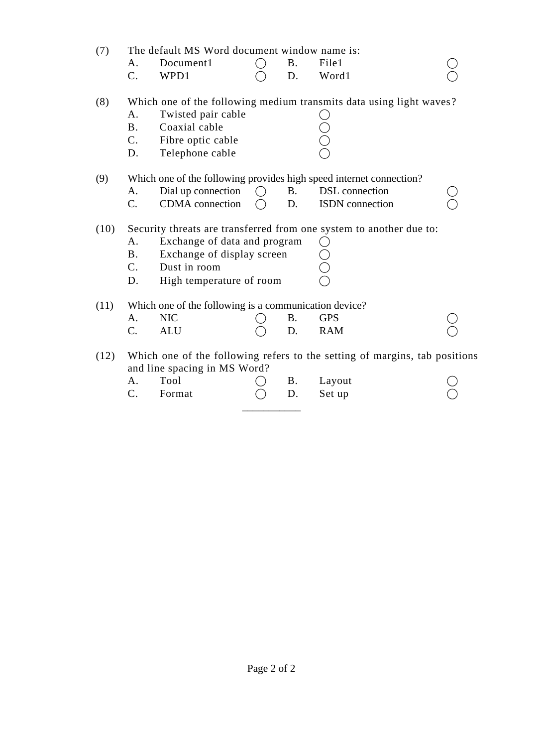| (7)  |                                                                                                            | The default MS Word document window name is:          |         |           |                                                                     |  |  |  |  |
|------|------------------------------------------------------------------------------------------------------------|-------------------------------------------------------|---------|-----------|---------------------------------------------------------------------|--|--|--|--|
|      | А.                                                                                                         | Document1                                             |         | <b>B.</b> | File1                                                               |  |  |  |  |
|      | $\mathcal{C}$ .                                                                                            | WPD1                                                  |         | D.        | Word1                                                               |  |  |  |  |
| (8)  |                                                                                                            |                                                       |         |           | Which one of the following medium transmits data using light waves? |  |  |  |  |
|      | A.                                                                                                         | Twisted pair cable                                    |         |           |                                                                     |  |  |  |  |
|      | <b>B.</b>                                                                                                  | Coaxial cable                                         |         |           |                                                                     |  |  |  |  |
|      | $C_{\cdot}$                                                                                                | Fibre optic cable                                     |         |           |                                                                     |  |  |  |  |
|      | D.                                                                                                         | Telephone cable                                       |         |           |                                                                     |  |  |  |  |
| (9)  |                                                                                                            |                                                       |         |           | Which one of the following provides high speed internet connection? |  |  |  |  |
|      | А.                                                                                                         | Dial up connection                                    | ( )     | <b>B.</b> | <b>DSL</b> connection                                               |  |  |  |  |
|      | C.                                                                                                         | CDMA connection                                       | $( \ )$ | D.        | ISDN connection                                                     |  |  |  |  |
| (10) | Security threats are transferred from one system to another due to:                                        |                                                       |         |           |                                                                     |  |  |  |  |
|      | А.                                                                                                         | Exchange of data and program                          |         |           |                                                                     |  |  |  |  |
|      | <b>B.</b>                                                                                                  | Exchange of display screen                            |         |           |                                                                     |  |  |  |  |
|      | C.                                                                                                         | Dust in room                                          |         |           |                                                                     |  |  |  |  |
|      | D.                                                                                                         | High temperature of room                              |         |           |                                                                     |  |  |  |  |
| (11) |                                                                                                            | Which one of the following is a communication device? |         |           |                                                                     |  |  |  |  |
|      | А.                                                                                                         | <b>NIC</b>                                            |         | <b>B.</b> | <b>GPS</b>                                                          |  |  |  |  |
|      | C.                                                                                                         | <b>ALU</b>                                            |         | D.        | <b>RAM</b>                                                          |  |  |  |  |
| (12) | Which one of the following refers to the setting of margins, tab positions<br>and line spacing in MS Word? |                                                       |         |           |                                                                     |  |  |  |  |
|      | А.                                                                                                         | Tool                                                  |         | <b>B.</b> | Layout                                                              |  |  |  |  |
|      | C.                                                                                                         | Format                                                |         | D.        | Set up                                                              |  |  |  |  |

\_\_\_\_\_\_\_\_\_\_\_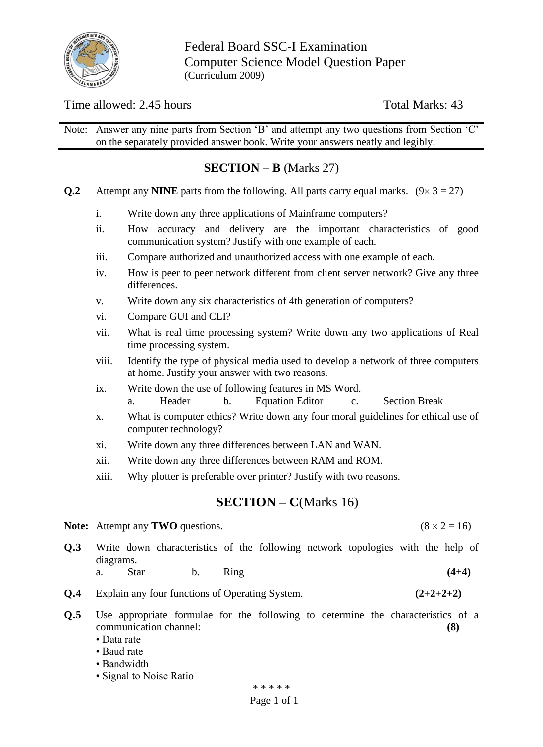

Federal Board SSC-I Examination Computer Science Model Question Paper (Curriculum 2009)

## Time allowed: 2.45 hours Total Marks: 43

Note: Answer any nine parts from Section 'B' and attempt any two questions from Section 'C' on the separately provided answer book. Write your answers neatly and legibly.

# **SECTION – B** (Marks 27)

- **Q.2** Attempt any **NINE** parts from the following. All parts carry equal marks.  $(9 \times 3 = 27)$ 
	- i. Write down any three applications of Mainframe computers?
	- ii. How accuracy and delivery are the important characteristics of good communication system? Justify with one example of each.
	- iii. Compare authorized and unauthorized access with one example of each.
	- iv. How is peer to peer network different from client server network? Give any three differences.
	- v. Write down any six characteristics of 4th generation of computers?
	- vi. Compare GUI and CLI?
	- vii. What is real time processing system? Write down any two applications of Real time processing system.
	- viii. Identify the type of physical media used to develop a network of three computers at home. Justify your answer with two reasons.
	- ix. Write down the use of following features in MS Word.
		- a. Header b. Equation Editor c. Section Break
	- x. What is computer ethics? Write down any four moral guidelines for ethical use of computer technology?
	- xi. Write down any three differences between LAN and WAN.
	- xii. Write down any three differences between RAM and ROM.
	- xiii. Why plotter is preferable over printer? Justify with two reasons.

### **SECTION – C**(Marks 16)

- **Note:** Attempt any **TWO** questions. (8  $\times$  2 = 16)
- **Q.3** Write down characteristics of the following network topologies with the help of diagrams. a. Star b. Ring **(4+4)**
- **Q.4** Explain any four functions of Operating System. **(2+2+2+2)**
- **Q.5** Use appropriate formulae for the following to determine the characteristics of a communication channel: **(8)**
	- Data rate
	- Baud rate
	- Bandwidth
	- Signal to Noise Ratio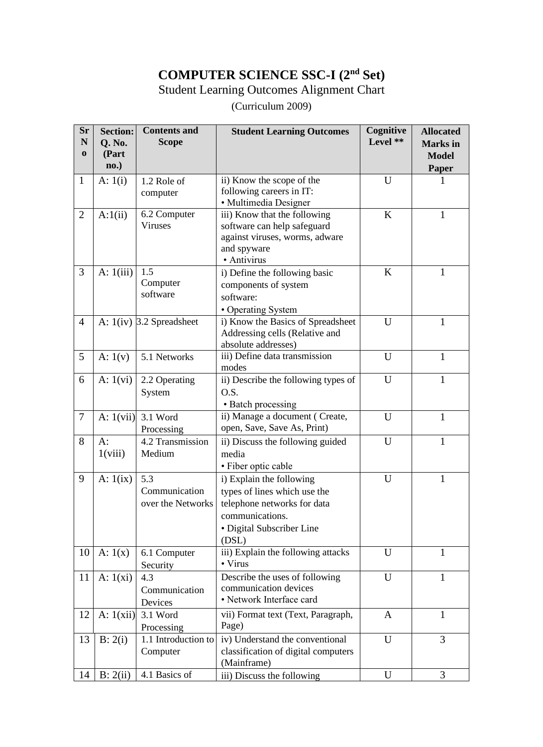# **COMPUTER SCIENCE SSC-I (2nd Set)**

Student Learning Outcomes Alignment Chart

(Curriculum 2009)

| <b>Sr</b><br>$\mathbf N$<br>$\bf{0}$ | <b>Section:</b><br>Q. No.<br>(Part<br>no.) | <b>Contents and</b><br><b>Scope</b>       | <b>Student Learning Outcomes</b>                                                                                                                 | Cognitive<br>Level ** | <b>Allocated</b><br><b>Marks</b> in<br><b>Model</b><br>Paper |
|--------------------------------------|--------------------------------------------|-------------------------------------------|--------------------------------------------------------------------------------------------------------------------------------------------------|-----------------------|--------------------------------------------------------------|
| $\mathbf{1}$                         | A: $1(i)$                                  | 1.2 Role of<br>computer                   | ii) Know the scope of the<br>following careers in IT:<br>· Multimedia Designer                                                                   | U                     | 1                                                            |
| $\overline{2}$                       | A:1(ii)                                    | 6.2 Computer<br>Viruses                   | iii) Know that the following<br>software can help safeguard<br>against viruses, worms, adware<br>and spyware<br>· Antivirus                      | K                     | $\mathbf{1}$                                                 |
| 3                                    | A: $1(iii)$                                | 1.5<br>Computer<br>software               | i) Define the following basic<br>components of system<br>software:<br>• Operating System                                                         | K                     | 1                                                            |
| $\overline{4}$                       |                                            | A: $1(iv)$ 3.2 Spreadsheet                | i) Know the Basics of Spreadsheet<br>Addressing cells (Relative and<br>absolute addresses)                                                       | U                     | $\mathbf{1}$                                                 |
| 5                                    | A: $1(v)$                                  | 5.1 Networks                              | iii) Define data transmission<br>modes                                                                                                           | U                     | $\mathbf{1}$                                                 |
| 6                                    | A: $1(vi)$                                 | 2.2 Operating<br>System                   | ii) Describe the following types of<br>O.S.<br>• Batch processing                                                                                | U                     | $\mathbf{1}$                                                 |
| $\overline{7}$                       | A: $1(vii)$                                | 3.1 Word<br>Processing                    | ii) Manage a document (Create,<br>open, Save, Save As, Print)                                                                                    | U                     | $\mathbf{1}$                                                 |
| 8                                    | $A$ :<br>1(viii)                           | 4.2 Transmission<br>Medium                | ii) Discuss the following guided<br>media<br>• Fiber optic cable                                                                                 | U                     | $\mathbf{1}$                                                 |
| 9                                    | A: $1(ix)$                                 | 5.3<br>Communication<br>over the Networks | i) Explain the following<br>types of lines which use the<br>telephone networks for data<br>communications.<br>• Digital Subscriber Line<br>(DSL) | U                     | $\mathbf{1}$                                                 |
| 10                                   | A: $1(x)$                                  | 6.1 Computer<br>Security                  | iii) Explain the following attacks<br>• Virus                                                                                                    | U                     | 1                                                            |
| 11                                   | A: $1(xi)$                                 | 4.3<br>Communication<br>Devices           | Describe the uses of following<br>communication devices<br>• Network Interface card                                                              | U                     | $\mathbf{1}$                                                 |
| 12                                   | A: $1(xii)$                                | 3.1 Word<br>Processing                    | vii) Format text (Text, Paragraph,<br>Page)                                                                                                      | A                     | $\mathbf{1}$                                                 |
| 13                                   | B: 2(i)                                    | 1.1 Introduction to<br>Computer           | iv) Understand the conventional<br>classification of digital computers<br>(Mainframe)                                                            | U                     | 3                                                            |
| 14                                   | B: 2(ii)                                   | 4.1 Basics of                             | iii) Discuss the following                                                                                                                       | U                     | 3                                                            |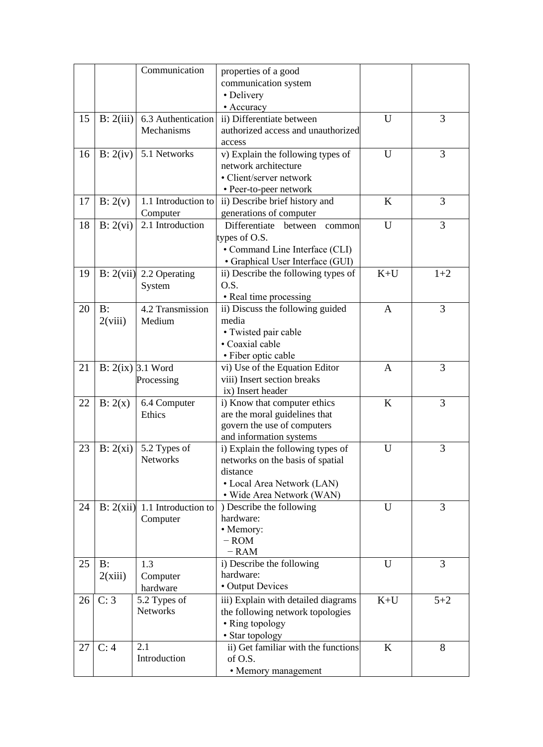|    |           | Communication                   | properties of a good                           |              |         |
|----|-----------|---------------------------------|------------------------------------------------|--------------|---------|
|    |           |                                 | communication system                           |              |         |
|    |           |                                 | • Delivery                                     |              |         |
|    |           |                                 | • Accuracy                                     |              |         |
|    |           |                                 |                                                |              |         |
| 15 | B: 2(iii) | 6.3 Authentication              | ii) Differentiate between                      | U            | 3       |
|    |           | Mechanisms                      | authorized access and unauthorized             |              |         |
|    |           |                                 | access                                         |              |         |
| 16 | B: 2(iv)  | 5.1 Networks                    | v) Explain the following types of              | U            | 3       |
|    |           |                                 | network architecture                           |              |         |
|    |           |                                 | • Client/server network                        |              |         |
|    |           |                                 | • Peer-to-peer network                         |              |         |
| 17 | B: 2(v)   | 1.1 Introduction to             | ii) Describe brief history and                 | K            | 3       |
|    |           | Computer                        | generations of computer                        |              |         |
| 18 | B: 2(vi)  | 2.1 Introduction                | Differentiate<br>between<br>common             | U            | 3       |
|    |           |                                 | types of O.S.                                  |              |         |
|    |           |                                 | • Command Line Interface (CLI)                 |              |         |
|    |           |                                 | • Graphical User Interface (GUI)               |              |         |
|    |           |                                 |                                                | $K+U$        |         |
| 19 | B: 2(vii) | 2.2 Operating                   | ii) Describe the following types of            |              | $1+2$   |
|    |           | System                          | O.S.                                           |              |         |
|    |           |                                 | • Real time processing                         |              |         |
| 20 | $B$ :     | 4.2 Transmission                | ii) Discuss the following guided               | $\mathbf{A}$ | 3       |
|    | 2(viii)   | Medium                          | media                                          |              |         |
|    |           |                                 | • Twisted pair cable                           |              |         |
|    |           |                                 | • Coaxial cable                                |              |         |
|    |           |                                 | • Fiber optic cable                            |              |         |
| 21 |           | $B: 2(ix)$ 3.1 Word             | vi) Use of the Equation Editor                 | A            | 3       |
|    |           | Processing                      | viii) Insert section breaks                    |              |         |
|    |           |                                 | ix) Insert header                              |              |         |
| 22 | B: 2(x)   | 6.4 Computer                    | i) Know that computer ethics                   | $\bf K$      | 3       |
|    |           | Ethics                          | are the moral guidelines that                  |              |         |
|    |           |                                 | govern the use of computers                    |              |         |
|    |           |                                 | and information systems                        |              |         |
| 23 | B: 2(xi)  | 5.2 Types of                    | i) Explain the following types of              | U            | 3       |
|    |           | <b>Networks</b>                 | networks on the basis of spatial               |              |         |
|    |           |                                 | distance                                       |              |         |
|    |           |                                 | • Local Area Network (LAN)                     |              |         |
|    |           |                                 |                                                |              |         |
|    |           |                                 | · Wide Area Network (WAN)                      |              |         |
| 24 |           | B: $2(xii)$ 1.1 Introduction to | ) Describe the following                       | U            | 3       |
|    |           | Computer                        | hardware:                                      |              |         |
|    |           |                                 | • Memory:                                      |              |         |
|    |           |                                 | $-$ ROM                                        |              |         |
|    |           |                                 | $-$ RAM                                        |              |         |
| 25 | $B$ :     | 1.3                             | i) Describe the following                      | U            | 3       |
|    | 2(xiii)   | Computer                        | hardware:                                      |              |         |
|    |           | hardware                        | • Output Devices                               |              |         |
| 26 | C: 3      | 5.2 Types of                    | iii) Explain with detailed diagrams            | $K+U$        | $5 + 2$ |
|    |           | <b>Networks</b>                 | the following network topologies               |              |         |
|    |           |                                 | • Ring topology                                |              |         |
|    |           |                                 |                                                |              |         |
|    |           |                                 |                                                |              |         |
| 27 | C: 4      | 2.1                             | • Star topology                                | K            | 8       |
|    |           | Introduction                    | ii) Get familiar with the functions<br>of O.S. |              |         |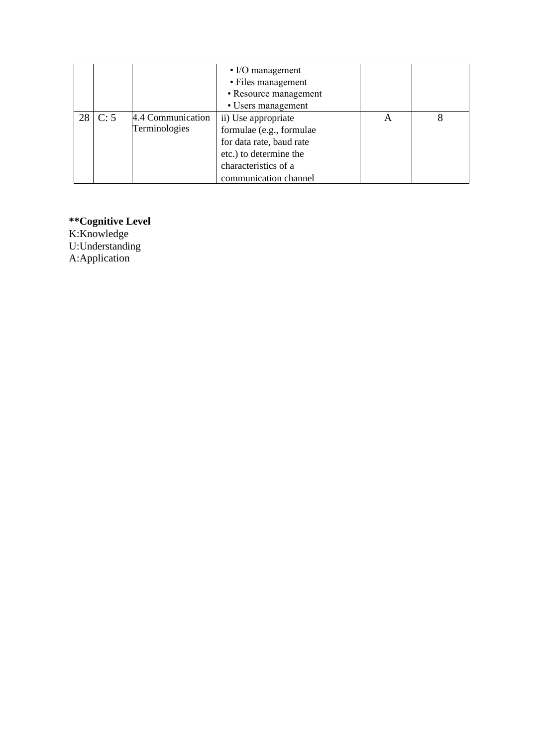|           |      |                   | $\cdot$ I/O management   |  |
|-----------|------|-------------------|--------------------------|--|
|           |      |                   | • Files management       |  |
|           |      |                   | • Resource management    |  |
|           |      |                   | • Users management       |  |
| <b>28</b> | C: 5 | 4.4 Communication | ii) Use appropriate      |  |
|           |      | Terminologies     | formulae (e.g., formulae |  |
|           |      |                   | for data rate, baud rate |  |
|           |      |                   | etc.) to determine the   |  |
|           |      |                   | characteristics of a     |  |
|           |      |                   | communication channel    |  |

**\*\*Cognitive Level** K:Knowledge U:Understanding

A:Application